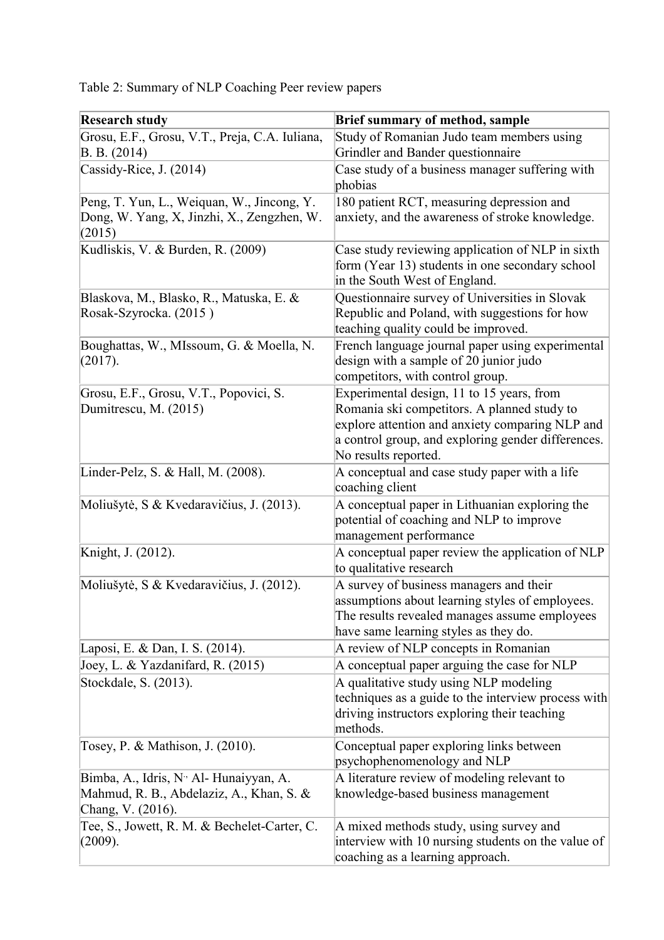|  |  | Table 2: Summary of NLP Coaching Peer review papers |  |
|--|--|-----------------------------------------------------|--|
|  |  |                                                     |  |

| <b>Research study</b>                                                                                                | <b>Brief summary of method, sample</b>                                                                                                                                                                                    |
|----------------------------------------------------------------------------------------------------------------------|---------------------------------------------------------------------------------------------------------------------------------------------------------------------------------------------------------------------------|
| Grosu, E.F., Grosu, V.T., Preja, C.A. Iuliana,<br>B. B. (2014)                                                       | Study of Romanian Judo team members using<br>Grindler and Bander questionnaire                                                                                                                                            |
| Cassidy-Rice, J. (2014)                                                                                              | Case study of a business manager suffering with<br>phobias                                                                                                                                                                |
| Peng, T. Yun, L., Weiquan, W., Jincong, Y.<br>Dong, W. Yang, X, Jinzhi, X., Zengzhen, W.<br>(2015)                   | 180 patient RCT, measuring depression and<br>anxiety, and the awareness of stroke knowledge.                                                                                                                              |
| Kudliskis, V. & Burden, R. (2009)                                                                                    | Case study reviewing application of NLP in sixth<br>form (Year 13) students in one secondary school<br>in the South West of England.                                                                                      |
| Blaskova, M., Blasko, R., Matuska, E. &<br>Rosak-Szyrocka. (2015)                                                    | Questionnaire survey of Universities in Slovak<br>Republic and Poland, with suggestions for how<br>teaching quality could be improved.                                                                                    |
| Boughattas, W., MIssoum, G. & Moella, N.<br>(2017).                                                                  | French language journal paper using experimental<br>design with a sample of 20 junior judo<br>competitors, with control group.                                                                                            |
| Grosu, E.F., Grosu, V.T., Popovici, S.<br>Dumitrescu, M. (2015)                                                      | Experimental design, 11 to 15 years, from<br>Romania ski competitors. A planned study to<br>explore attention and anxiety comparing NLP and<br>a control group, and exploring gender differences.<br>No results reported. |
| Linder-Pelz, S. & Hall, M. (2008).                                                                                   | A conceptual and case study paper with a life<br>coaching client                                                                                                                                                          |
| Moliušytė, S & Kvedaravičius, J. (2013).                                                                             | A conceptual paper in Lithuanian exploring the<br>potential of coaching and NLP to improve<br>management performance                                                                                                      |
| Knight, J. (2012).                                                                                                   | A conceptual paper review the application of NLP<br>to qualitative research                                                                                                                                               |
| Moliušytė, S & Kvedaravičius, J. (2012).                                                                             | A survey of business managers and their<br>assumptions about learning styles of employees.<br>The results revealed manages assume employees<br>have same learning styles as they do.                                      |
| Laposi, E. & Dan, I. S. (2014).                                                                                      | A review of NLP concepts in Romanian                                                                                                                                                                                      |
| Joey, L. & Yazdanifard, R. (2015)                                                                                    | A conceptual paper arguing the case for NLP                                                                                                                                                                               |
| Stockdale, S. (2013).                                                                                                | A qualitative study using NLP modeling<br>techniques as a guide to the interview process with<br>driving instructors exploring their teaching<br>methods.                                                                 |
| Tosey, P. & Mathison, J. (2010).                                                                                     | Conceptual paper exploring links between<br>psychophenomenology and NLP                                                                                                                                                   |
| Bimba, A., Idris, N <sup>.,</sup> Al- Hunaiyyan, A.<br>Mahmud, R. B., Abdelaziz, A., Khan, S. &<br>Chang, V. (2016). | A literature review of modeling relevant to<br>knowledge-based business management                                                                                                                                        |
| Tee, S., Jowett, R. M. & Bechelet-Carter, C.<br>(2009).                                                              | A mixed methods study, using survey and<br>interview with 10 nursing students on the value of<br>coaching as a learning approach.                                                                                         |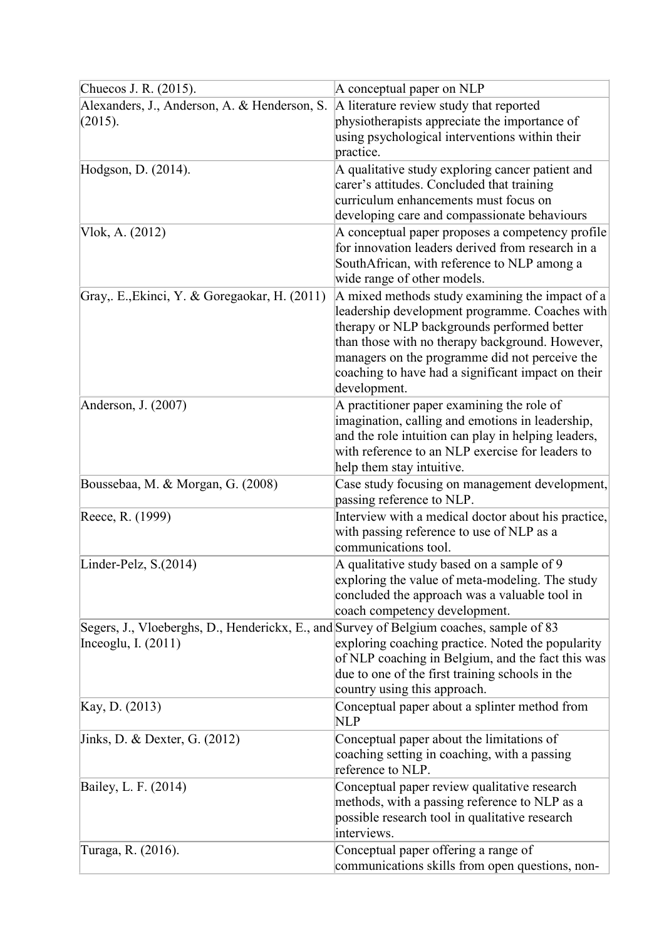| Chuecos J. R. (2015).                                                                                            | A conceptual paper on NLP                                                                                                                                                                                                                                                                                                   |
|------------------------------------------------------------------------------------------------------------------|-----------------------------------------------------------------------------------------------------------------------------------------------------------------------------------------------------------------------------------------------------------------------------------------------------------------------------|
| Alexanders, J., Anderson, A. & Henderson, S.<br>(2015).                                                          | A literature review study that reported<br>physiotherapists appreciate the importance of<br>using psychological interventions within their<br>practice.                                                                                                                                                                     |
| Hodgson, D. (2014).                                                                                              | A qualitative study exploring cancer patient and<br>carer's attitudes. Concluded that training<br>curriculum enhancements must focus on<br>developing care and compassionate behaviours                                                                                                                                     |
| Vlok, A. (2012)                                                                                                  | A conceptual paper proposes a competency profile<br>for innovation leaders derived from research in a<br>SouthAfrican, with reference to NLP among a<br>wide range of other models.                                                                                                                                         |
| Gray,. E., Ekinci, Y. & Goregaokar, H. (2011)                                                                    | A mixed methods study examining the impact of a<br>leadership development programme. Coaches with<br>therapy or NLP backgrounds performed better<br>than those with no therapy background. However,<br>managers on the programme did not perceive the<br>coaching to have had a significant impact on their<br>development. |
| Anderson, J. (2007)                                                                                              | A practitioner paper examining the role of<br>imagination, calling and emotions in leadership,<br>and the role intuition can play in helping leaders,<br>with reference to an NLP exercise for leaders to<br>help them stay intuitive.                                                                                      |
| Boussebaa, M. & Morgan, G. (2008)                                                                                | Case study focusing on management development,<br>passing reference to NLP.                                                                                                                                                                                                                                                 |
| Reece, R. (1999)                                                                                                 | Interview with a medical doctor about his practice,<br>with passing reference to use of NLP as a<br>communications tool.                                                                                                                                                                                                    |
| Linder-Pelz, S.(2014)                                                                                            | A qualitative study based on a sample of 9<br>exploring the value of meta-modeling. The study<br>concluded the approach was a valuable tool in<br>coach competency development.                                                                                                                                             |
| Segers, J., Vloeberghs, D., Henderickx, E., and Survey of Belgium coaches, sample of 83<br>Inceoglu, I. $(2011)$ | exploring coaching practice. Noted the popularity<br>of NLP coaching in Belgium, and the fact this was<br>due to one of the first training schools in the<br>country using this approach.                                                                                                                                   |
| Kay, D. (2013)                                                                                                   | Conceptual paper about a splinter method from<br><b>NLP</b>                                                                                                                                                                                                                                                                 |
| Jinks, D. & Dexter, G. (2012)                                                                                    | Conceptual paper about the limitations of<br>coaching setting in coaching, with a passing<br>reference to NLP.                                                                                                                                                                                                              |
| Bailey, L. F. (2014)                                                                                             | Conceptual paper review qualitative research<br>methods, with a passing reference to NLP as a<br>possible research tool in qualitative research<br>interviews.                                                                                                                                                              |
| Turaga, R. (2016).                                                                                               | Conceptual paper offering a range of<br>communications skills from open questions, non-                                                                                                                                                                                                                                     |